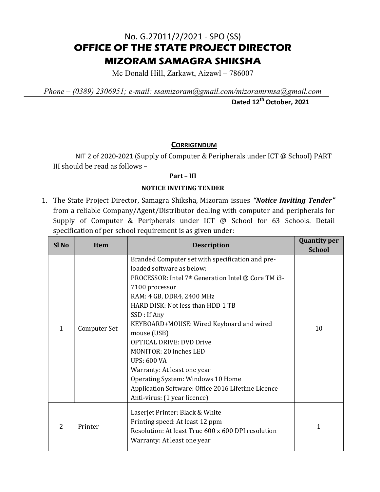## No. G.27011/2/2021 - SPO (SS) OFFICE OF THE STATE PROJECT DIRECTOR MIZORAM SAMAGRA SHIKSHA

Mc Donald Hill, Zarkawt, Aizawl – 786007

Phone – (0389) 2306951; e-mail: ssamizoram@gmail.com/mizoramrmsa@gmail.com

Dated 12<sup>th</sup> October, 2021

## **CORRIGENDUM**

NIT 2 of 2020-2021 (Supply of Computer & Peripherals under ICT @ School) PART III should be read as follows –

## Part – III

## NOTICE INVITING TENDER

1. The State Project Director, Samagra Shiksha, Mizoram issues "Notice Inviting Tender" from a reliable Company/Agent/Distributor dealing with computer and peripherals for Supply of Computer & Peripherals under ICT @ School for 63 Schools. Detail specification of per school requirement is as given under:

| Sl <sub>No</sub> | Item         | <b>Description</b>                                                                                                                                                                                                                                                                                                                                                                                                                                                                                                                                      | <b>Quantity per</b><br><b>School</b> |
|------------------|--------------|---------------------------------------------------------------------------------------------------------------------------------------------------------------------------------------------------------------------------------------------------------------------------------------------------------------------------------------------------------------------------------------------------------------------------------------------------------------------------------------------------------------------------------------------------------|--------------------------------------|
| 1                | Computer Set | Branded Computer set with specification and pre-<br>loaded software as below:<br>PROCESSOR: Intel 7th Generation Intel ® Core TM i3-<br>7100 processor<br>RAM: 4 GB, DDR4, 2400 MHz<br>HARD DISK: Not less than HDD 1 TB<br>SSD : If Any<br>KEYBOARD+MOUSE: Wired Keyboard and wired<br>mouse (USB)<br><b>OPTICAL DRIVE: DVD Drive</b><br><b>MONITOR: 20 inches LED</b><br><b>UPS: 600 VA</b><br>Warranty: At least one year<br>Operating System: Windows 10 Home<br>Application Software: Office 2016 Lifetime Licence<br>Anti-virus: (1 year licence) | 10                                   |
| $\overline{2}$   | Printer      | Laserjet Printer: Black & White<br>Printing speed: At least 12 ppm<br>Resolution: At least True 600 x 600 DPI resolution<br>Warranty: At least one year                                                                                                                                                                                                                                                                                                                                                                                                 | $\mathbf{1}$                         |